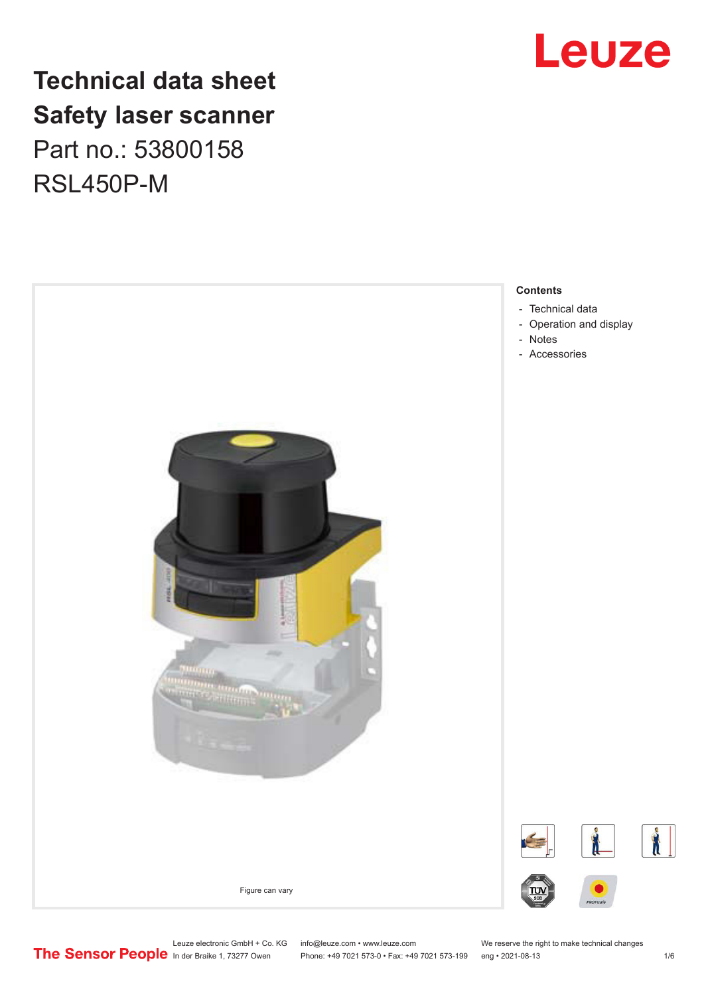## **Technical data sheet Safety laser scanner** Part no.: 53800158 RSL450P-M





Leuze electronic GmbH + Co. KG info@leuze.com • www.leuze.com We reserve the right to make technical changes<br> **The Sensor People** in der Braike 1, 73277 Owen Phone: +49 7021 573-0 • Fax: +49 7021 573-199 eng • 2021-08-13

Phone: +49 7021 573-0 • Fax: +49 7021 573-199 eng • 2021-08-13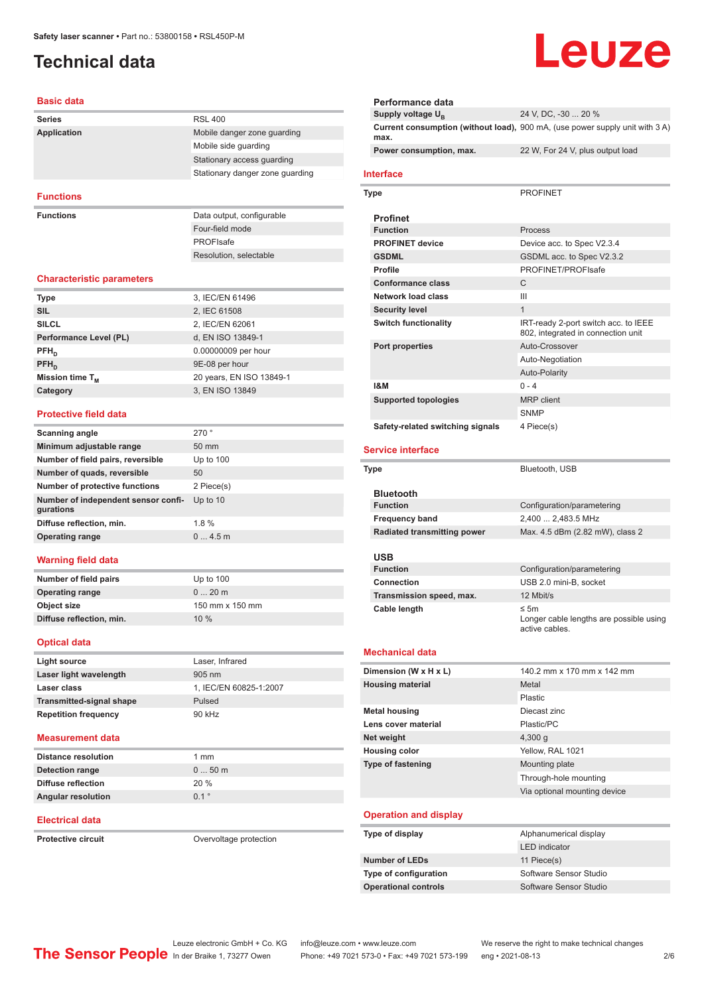## <span id="page-1-0"></span>**Technical data**

| Basic data                                       |                                 |
|--------------------------------------------------|---------------------------------|
| <b>Series</b>                                    | <b>RSL 400</b>                  |
| Application                                      | Mobile danger zone guarding     |
|                                                  | Mobile side guarding            |
|                                                  | Stationary access guarding      |
|                                                  | Stationary danger zone guarding |
| <b>Functions</b>                                 |                                 |
| <b>Functions</b>                                 | Data output, configurable       |
|                                                  | Four-field mode                 |
|                                                  | PROFIsafe                       |
|                                                  | Resolution, selectable          |
| <b>Characteristic parameters</b>                 |                                 |
| <b>Type</b>                                      | 3, IEC/EN 61496                 |
| <b>SIL</b>                                       | 2, IEC 61508                    |
| <b>SILCL</b>                                     | 2, IEC/EN 62061                 |
| Performance Level (PL)                           | d, EN ISO 13849-1               |
| $PFH_n$                                          | 0.00000009 per hour             |
| PFH <sub>D</sub>                                 | 9E-08 per hour                  |
| Mission time T <sub>M</sub>                      | 20 years, EN ISO 13849-1        |
| Category                                         | 3, EN ISO 13849                 |
| <b>Protective field data</b>                     |                                 |
| <b>Scanning angle</b>                            | 270°                            |
| Minimum adjustable range                         | 50 mm                           |
| Number of field pairs, reversible                | Up to 100                       |
| Number of quads, reversible                      | 50                              |
| Number of protective functions                   | 2 Piece(s)                      |
| Number of independent sensor confi-<br>gurations | Up to 10                        |
| Diffuse reflection, min.                         | 1.8%                            |
| <b>Operating range</b>                           | 04.5m                           |
| <b>Warning field data</b>                        |                                 |
| <b>Number of field pairs</b>                     | Up to 100                       |
| <b>Operating range</b>                           | 020m                            |
| Object size                                      | 150 mm x 150 mm                 |
| Diffuse reflection, min.                         | 10 %                            |
| <b>Optical data</b>                              |                                 |
| <b>Light source</b>                              | Laser, Infrared                 |
| Laser light wavelength                           | 905 nm                          |
| Laser class                                      | 1. IEC/EN 60825-1:2007          |
| <b>Transmitted-signal shape</b>                  | Pulsed                          |

#### **Measurement data**

**Repetition frequency** 90 kHz

| Distance resolution       | 1 mm             |
|---------------------------|------------------|
| Detection range           | $050$ m          |
| Diffuse reflection        | 20%              |
| <b>Angular resolution</b> | $0.1$ $^{\circ}$ |

#### **Electrical data**

**Protective circuit Circuit** Overvoltage protection

## Leuze

| Performance data                   |                                                                              |
|------------------------------------|------------------------------------------------------------------------------|
| Supply voltage U <sub>n</sub>      | 24 V, DC, -30  20 %                                                          |
| max.                               | Current consumption (without load), 900 mA, (use power supply unit with 3 A) |
| Power consumption, max.            | 22 W, For 24 V, plus output load                                             |
| <b>Interface</b>                   |                                                                              |
| Type                               | <b>PROFINET</b>                                                              |
| <b>Profinet</b>                    |                                                                              |
| <b>Function</b>                    | Process                                                                      |
| <b>PROFINET device</b>             | Device acc. to Spec V2.3.4                                                   |
| <b>GSDML</b>                       | GSDML acc. to Spec V2.3.2                                                    |
| <b>Profile</b>                     | PROFINET/PROFIsafe                                                           |
| <b>Conformance class</b>           | C                                                                            |
| <b>Network load class</b>          | Ш                                                                            |
| <b>Security level</b>              | $\mathbf{1}$                                                                 |
| <b>Switch functionality</b>        | IRT-ready 2-port switch acc. to IEEE<br>802, integrated in connection unit   |
| Port properties                    | Auto-Crossover                                                               |
|                                    | Auto-Negotiation                                                             |
|                                    | <b>Auto-Polarity</b>                                                         |
| <b>1&amp;M</b>                     | $0 - 4$                                                                      |
| <b>Supported topologies</b>        | <b>MRP</b> client                                                            |
|                                    | <b>SNMP</b>                                                                  |
| Safety-related switching signals   | 4 Piece(s)                                                                   |
| <b>Service interface</b>           |                                                                              |
| Type                               | Bluetooth, USB                                                               |
|                                    |                                                                              |
| <b>Bluetooth</b>                   |                                                                              |
| <b>Function</b>                    | Configuration/parametering                                                   |
| <b>Frequency band</b>              | 2,400  2,483.5 MHz                                                           |
| <b>Radiated transmitting power</b> | Max. 4.5 dBm (2.82 mW), class 2                                              |
|                                    |                                                                              |
| USB<br><b>Function</b>             | Configuration/parametering                                                   |
| <b>Connection</b>                  | USB 2.0 mini-B, socket                                                       |
| Transmission speed, max.           | 12 Mbit/s                                                                    |
| Cable length                       | ≤ 5m                                                                         |
|                                    | Longer cable lengths are possible using<br>active cables.                    |
| <b>Mechanical data</b>             |                                                                              |
| Dimension (W x H x L)              | 140.2 mm x 170 mm x 142 mm                                                   |
| <b>Housing material</b>            | Metal                                                                        |
|                                    | Plastic                                                                      |
| <b>Metal housing</b>               | Diecast zinc                                                                 |
| Lens cover material                | Plastic/PC                                                                   |
| Net weight                         | 4,300 g                                                                      |
| <b>Housing color</b>               | Yellow, RAL 1021                                                             |
| <b>Type of fastening</b>           | Mounting plate                                                               |
|                                    | Through-hole mounting                                                        |
|                                    | Via optional mounting device                                                 |
| <b>Operation and display</b>       |                                                                              |
| Type of display                    | Alphanumerical display                                                       |
|                                    | <b>LED</b> indicator                                                         |
| <b>Number of LEDs</b>              | 11 Piece(s)                                                                  |
| Type of configuration              | Software Sensor Studio                                                       |
| <b>Operational controls</b>        | Software Sensor Studio                                                       |
|                                    |                                                                              |

Leuze electronic GmbH + Co. KG info@leuze.com • www.leuze.com We reserve the right to make technical changes

ln der Braike 1, 73277 Owen Phone: +49 7021 573-0 • Fax: +49 7021 573-199 eng • 2021-08-13 2/6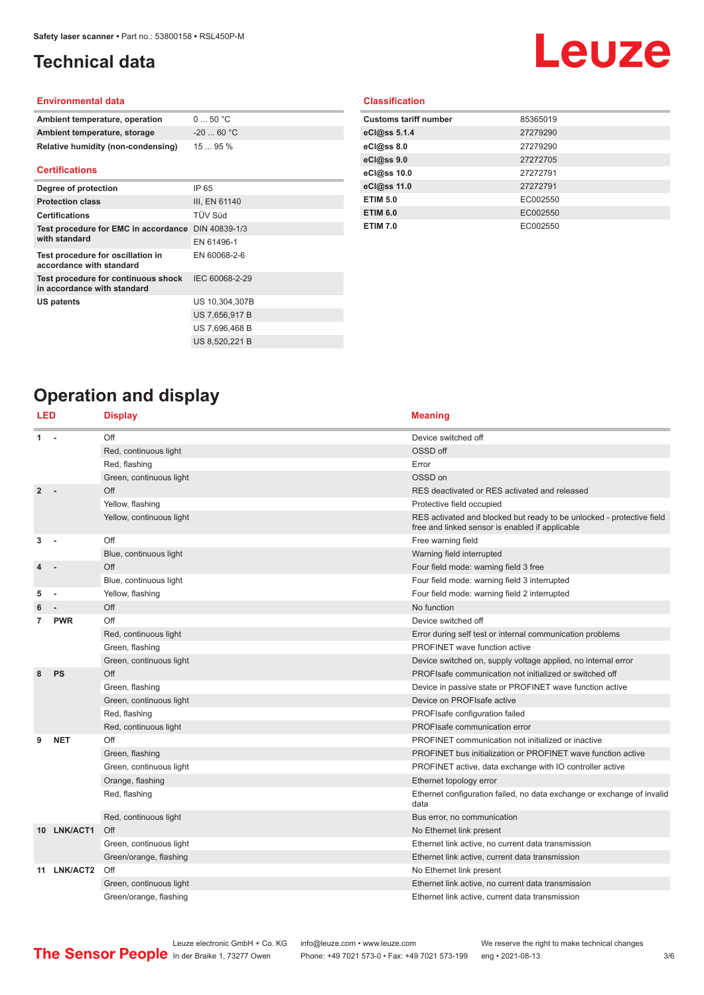## <span id="page-2-0"></span>**Technical data**

# **Leuze**

#### **Environmental data**

| Ambient temperature, operation     | $0 \dots 50$ °C |
|------------------------------------|-----------------|
| Ambient temperature, storage       | $-2060 °C$      |
| Relative humidity (non-condensing) | 1595%           |

#### **Certifications**

| Degree of protection                                               | IP 65          |
|--------------------------------------------------------------------|----------------|
| <b>Protection class</b>                                            | III, EN 61140  |
| <b>Certifications</b>                                              | TÜV Süd        |
| Test procedure for EMC in accordance DIN 40839-1/3                 |                |
| with standard                                                      | EN 61496-1     |
| Test procedure for oscillation in<br>accordance with standard      | EN 60068-2-6   |
| Test procedure for continuous shock<br>in accordance with standard | IEC 60068-2-29 |
| <b>US patents</b>                                                  | US 10,304,307B |
|                                                                    | US 7,656,917 B |
|                                                                    | US 7,696,468 B |
|                                                                    | US 8,520,221 B |

### **Classification**

| <b>Customs tariff number</b> | 85365019 |
|------------------------------|----------|
| eCl@ss 5.1.4                 | 27279290 |
| eCl@ss 8.0                   | 27279290 |
| eCl@ss 9.0                   | 27272705 |
| eCl@ss 10.0                  | 27272791 |
| eCl@ss 11.0                  | 27272791 |
| <b>ETIM 5.0</b>              | EC002550 |
| <b>ETIM 6.0</b>              | EC002550 |
| <b>ETIM 7.0</b>              | EC002550 |

## **Operation and display**

| LED            |             | <b>Display</b>           | <b>Meaning</b>                                                                                                           |
|----------------|-------------|--------------------------|--------------------------------------------------------------------------------------------------------------------------|
| 1              |             | Off                      | Device switched off                                                                                                      |
|                |             | Red, continuous light    | OSSD off                                                                                                                 |
|                |             | Red, flashing            | Error                                                                                                                    |
|                |             | Green, continuous light  | OSSD on                                                                                                                  |
| $\overline{2}$ |             | Off                      | RES deactivated or RES activated and released                                                                            |
|                |             | Yellow, flashing         | Protective field occupied                                                                                                |
|                |             | Yellow, continuous light | RES activated and blocked but ready to be unlocked - protective field<br>free and linked sensor is enabled if applicable |
| 3              |             | Off                      | Free warning field                                                                                                       |
|                |             | Blue, continuous light   | Warning field interrupted                                                                                                |
|                |             | Off                      | Four field mode: warning field 3 free                                                                                    |
|                |             | Blue, continuous light   | Four field mode: warning field 3 interrupted                                                                             |
| 5              |             | Yellow, flashing         | Four field mode: warning field 2 interrupted                                                                             |
|                |             | Off                      | No function                                                                                                              |
| 7              | <b>PWR</b>  | Off                      | Device switched off                                                                                                      |
|                |             | Red, continuous light    | Error during self test or internal communication problems                                                                |
|                |             | Green, flashing          | <b>PROFINET</b> wave function active                                                                                     |
|                |             | Green, continuous light  | Device switched on, supply voltage applied, no internal error                                                            |
| 8              | PS          | Off                      | PROFIsafe communication not initialized or switched off                                                                  |
|                |             | Green, flashing          | Device in passive state or PROFINET wave function active                                                                 |
|                |             | Green, continuous light  | Device on PROFIsafe active                                                                                               |
|                |             | Red, flashing            | PROFIsafe configuration failed                                                                                           |
|                |             | Red, continuous light    | PROFIsafe communication error                                                                                            |
| 9              | <b>NET</b>  | Off                      | PROFINET communication not initialized or inactive                                                                       |
|                |             | Green, flashing          | PROFINET bus initialization or PROFINET wave function active                                                             |
|                |             | Green, continuous light  | PROFINET active, data exchange with IO controller active                                                                 |
|                |             | Orange, flashing         | Ethernet topology error                                                                                                  |
|                |             | Red, flashing            | Ethernet configuration failed, no data exchange or exchange of invalid<br>data                                           |
|                |             | Red, continuous light    | Bus error, no communication                                                                                              |
|                | 10 LNK/ACT1 | Off                      | No Ethernet link present                                                                                                 |
|                |             | Green, continuous light  | Ethernet link active, no current data transmission                                                                       |
|                |             | Green/orange, flashing   | Ethernet link active, current data transmission                                                                          |
|                | 11 LNK/ACT2 | Off                      | No Ethernet link present                                                                                                 |
|                |             | Green, continuous light  | Ethernet link active, no current data transmission                                                                       |
|                |             | Green/orange, flashing   | Ethernet link active, current data transmission                                                                          |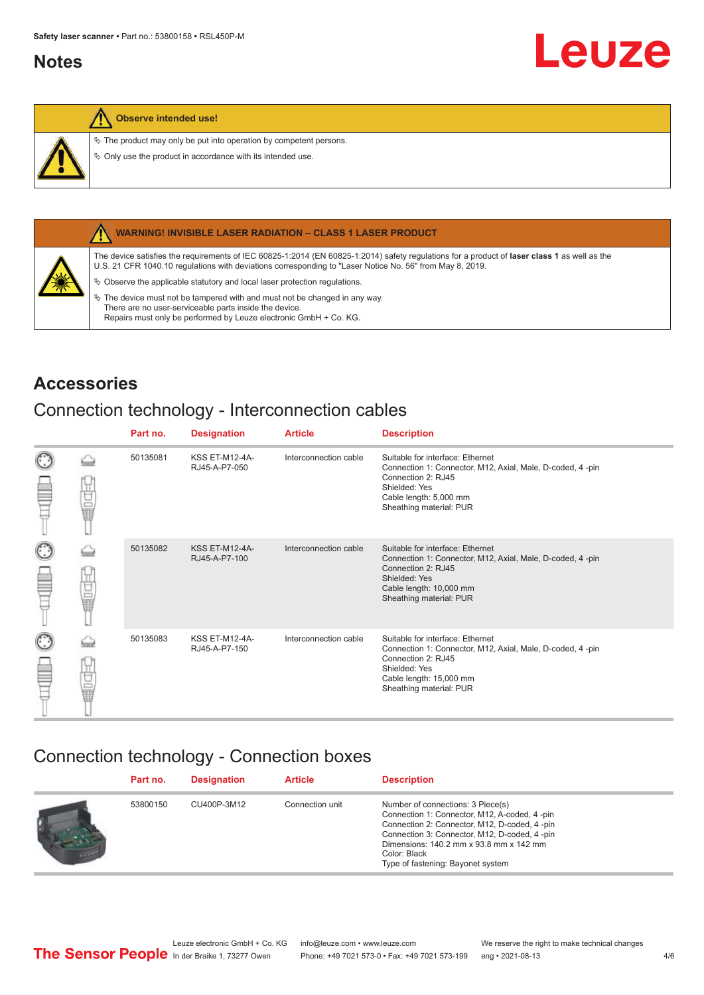## <span id="page-3-0"></span>**Notes**

### **Observe intended use!**

 $\&$  The product may only be put into operation by competent persons.

 $\%$  Only use the product in accordance with its intended use.



#### **WARNING! INVISIBLE LASER RADIATION – CLASS 1 LASER PRODUCT**

The device satisfies the requirements of IEC 60825-1:2014 (EN 60825-1:2014) safety regulations for a product of **laser class 1** as well as the U.S. 21 CFR 1040.10 regulations with deviations corresponding to "Laser Notice No. 56" from May 8, 2019.

 $\&$  Observe the applicable statutory and local laser protection regulations.

 $\%$  The device must not be tampered with and must not be changed in any way. There are no user-serviceable parts inside the device. Repairs must only be performed by Leuze electronic GmbH + Co. KG.

## **Accessories**

## Connection technology - Interconnection cables

|                 |    | Part no. | <b>Designation</b>                     | <b>Article</b>        | <b>Description</b>                                                                                                                                                                         |
|-----------------|----|----------|----------------------------------------|-----------------------|--------------------------------------------------------------------------------------------------------------------------------------------------------------------------------------------|
| ١<br>œ          | Ū  | 50135081 | <b>KSS ET-M12-4A-</b><br>RJ45-A-P7-050 | Interconnection cable | Suitable for interface: Ethernet<br>Connection 1: Connector, M12, Axial, Male, D-coded, 4-pin<br>Connection 2: RJ45<br>Shielded: Yes<br>Cable length: 5,000 mm<br>Sheathing material: PUR  |
| $_{\odot}$<br>œ | 甘量 | 50135082 | <b>KSS ET-M12-4A-</b><br>RJ45-A-P7-100 | Interconnection cable | Suitable for interface: Ethernet<br>Connection 1: Connector, M12, Axial, Male, D-coded, 4-pin<br>Connection 2: RJ45<br>Shielded: Yes<br>Cable length: 10,000 mm<br>Sheathing material: PUR |
| $_{\odot}$<br>ø | 甘量 | 50135083 | <b>KSS ET-M12-4A-</b><br>RJ45-A-P7-150 | Interconnection cable | Suitable for interface: Ethernet<br>Connection 1: Connector, M12, Axial, Male, D-coded, 4-pin<br>Connection 2: RJ45<br>Shielded: Yes<br>Cable length: 15,000 mm<br>Sheathing material: PUR |

## Connection technology - Connection boxes

| Part no. | <b>Designation</b> | <b>Article</b>  | <b>Description</b>                                                                                                                                                                                                                                                                  |
|----------|--------------------|-----------------|-------------------------------------------------------------------------------------------------------------------------------------------------------------------------------------------------------------------------------------------------------------------------------------|
| 53800150 | CU400P-3M12        | Connection unit | Number of connections: 3 Piece(s)<br>Connection 1: Connector, M12, A-coded, 4-pin<br>Connection 2: Connector, M12, D-coded, 4 -pin<br>Connection 3: Connector, M12, D-coded, 4 -pin<br>Dimensions: 140.2 mm x 93.8 mm x 142 mm<br>Color: Black<br>Type of fastening: Bayonet system |

Leuze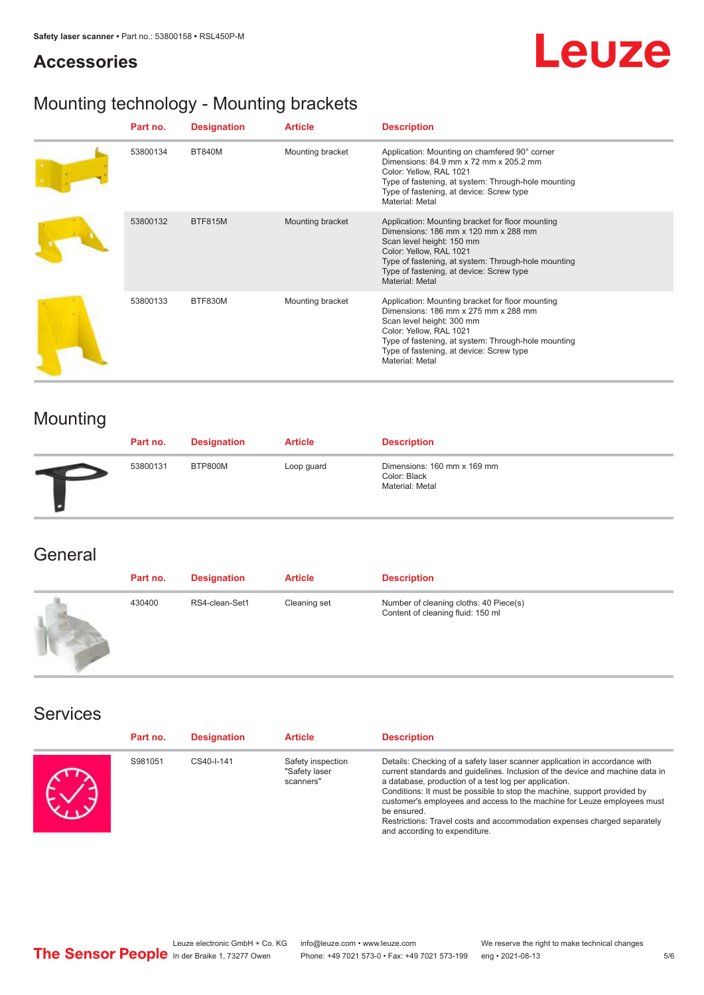## **Accessories**



## Mounting technology - Mounting brackets

| Part no. | <b>Designation</b> | <b>Article</b>   | <b>Description</b>                                                                                                                                                                                                                                                     |
|----------|--------------------|------------------|------------------------------------------------------------------------------------------------------------------------------------------------------------------------------------------------------------------------------------------------------------------------|
| 53800134 | <b>BT840M</b>      | Mounting bracket | Application: Mounting on chamfered 90° corner<br>Dimensions: 84.9 mm x 72 mm x 205.2 mm<br>Color: Yellow, RAL 1021<br>Type of fastening, at system: Through-hole mounting<br>Type of fastening, at device: Screw type<br>Material: Metal                               |
| 53800132 | <b>BTF815M</b>     | Mounting bracket | Application: Mounting bracket for floor mounting<br>Dimensions: 186 mm x 120 mm x 288 mm<br>Scan level height: 150 mm<br>Color: Yellow, RAL 1021<br>Type of fastening, at system: Through-hole mounting<br>Type of fastening, at device: Screw type<br>Material: Metal |
| 53800133 | BTF830M            | Mounting bracket | Application: Mounting bracket for floor mounting<br>Dimensions: 186 mm x 275 mm x 288 mm<br>Scan level height: 300 mm<br>Color: Yellow, RAL 1021<br>Type of fastening, at system: Through-hole mounting<br>Type of fastening, at device: Screw type<br>Material: Metal |

## Mounting

| Part no. | <b>Designation</b> | <b>Article</b> | <b>Description</b>                                             |
|----------|--------------------|----------------|----------------------------------------------------------------|
| 53800131 | BTP800M            | Loop guard     | Dimensions: 160 mm x 169 mm<br>Color: Black<br>Material: Metal |

## **General**

| Part no. | <b>Designation</b> | <b>Article</b> | <b>Description</b>                                                          |
|----------|--------------------|----------------|-----------------------------------------------------------------------------|
| 430400   | RS4-clean-Set1     | Cleaning set   | Number of cleaning cloths: 40 Piece(s)<br>Content of cleaning fluid: 150 ml |

### Services

| Part no. | <b>Designation</b> | <b>Article</b>                                  | <b>Description</b>                                                                                                                                                                                                                                                                                                                                                                                                                                                                                      |
|----------|--------------------|-------------------------------------------------|---------------------------------------------------------------------------------------------------------------------------------------------------------------------------------------------------------------------------------------------------------------------------------------------------------------------------------------------------------------------------------------------------------------------------------------------------------------------------------------------------------|
| S981051  | CS40-I-141         | Safety inspection<br>"Safety laser<br>scanners" | Details: Checking of a safety laser scanner application in accordance with<br>current standards and quidelines. Inclusion of the device and machine data in<br>a database, production of a test log per application.<br>Conditions: It must be possible to stop the machine, support provided by<br>customer's employees and access to the machine for Leuze employees must<br>be ensured.<br>Restrictions: Travel costs and accommodation expenses charged separately<br>and according to expenditure. |